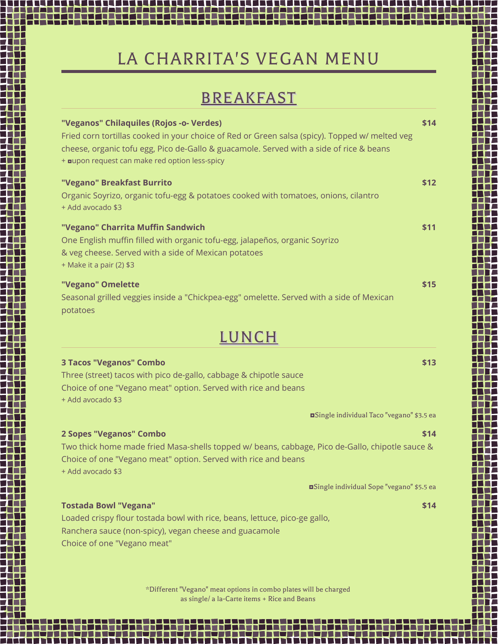## LA CHARRITA'S VEGAN MENU

## BREAKFAST

| "Veganos" Chilaquiles (Rojos -o- Verdes)<br>Fried corn tortillas cooked in your choice of Red or Green salsa (spicy). Topped w/ melted veg<br>cheese, organic tofu egg, Pico de-Gallo & guacamole. Served with a side of rice & beans<br>+ aupon request can make red option less-spicy | \$14 |  |  |  |  |  |
|-----------------------------------------------------------------------------------------------------------------------------------------------------------------------------------------------------------------------------------------------------------------------------------------|------|--|--|--|--|--|
| "Vegano" Breakfast Burrito<br>Organic Soyrizo, organic tofu-egg & potatoes cooked with tomatoes, onions, cilantro<br>+ Add avocado \$3                                                                                                                                                  | \$12 |  |  |  |  |  |
| "Vegano" Charrita Muffin Sandwich<br>One English muffin filled with organic tofu-egg, jalapeños, organic Soyrizo<br>& veg cheese. Served with a side of Mexican potatoes<br>+ Make it a pair (2) \$3                                                                                    | \$11 |  |  |  |  |  |
| "Vegano" Omelette<br>Seasonal grilled veggies inside a "Chickpea-egg" omelette. Served with a side of Mexican<br>potatoes                                                                                                                                                               | \$15 |  |  |  |  |  |
| LUNCH                                                                                                                                                                                                                                                                                   |      |  |  |  |  |  |
| <b>3 Tacos "Veganos" Combo</b><br>Three (street) tacos with pico de-gallo, cabbage & chipotle sauce<br>Choice of one "Vegano meat" option. Served with rice and beans<br>+ Add avocado \$3                                                                                              | \$13 |  |  |  |  |  |
| <b>¤Single individual Taco "vegano" \$3.5 ea</b>                                                                                                                                                                                                                                        |      |  |  |  |  |  |
| 2 Sopes "Veganos" Combo<br>Two thick home made fried Masa-shells topped w/ beans, cabbage, Pico de-Gallo, chipotle sauce &<br>Choice of one "Vegano meat" option. Served with rice and beans<br>+ Add avocado \$3                                                                       | \$14 |  |  |  |  |  |
| <b>aSingle individual Sope "vegano"</b> \$5.5 ea                                                                                                                                                                                                                                        |      |  |  |  |  |  |
| <b>Tostada Bowl "Vegana"</b><br>Loaded crispy flour tostada bowl with rice, beans, lettuce, pico-ge gallo,<br>Ranchera sauce (non-spicy), vegan cheese and guacamole<br>Choice of one "Vegano meat"                                                                                     | \$14 |  |  |  |  |  |

\*Different "Vegano" meat options in combo plates will be charged as single/ a la-Carte items + Rice and Beans

1 M M M

П

,,,,,,,,,,,,,,,,

ta dhe ta filma dhe a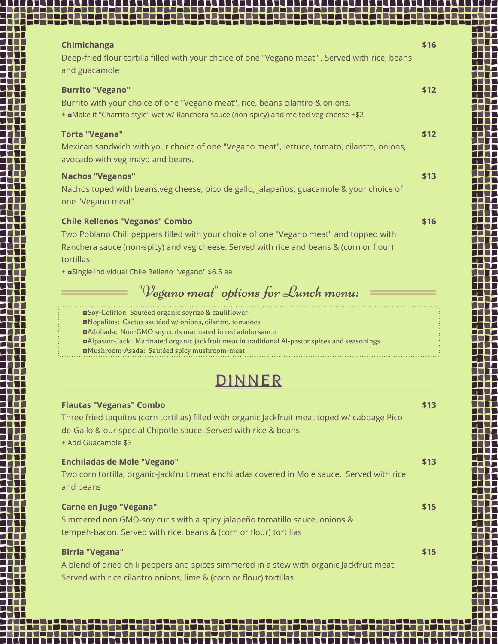| Chimichanga<br>Deep-fried flour tortilla filled with your choice of one "Vegano meat" . Served with rice, beans                                                                                | \$16 |
|------------------------------------------------------------------------------------------------------------------------------------------------------------------------------------------------|------|
| and guacamole                                                                                                                                                                                  |      |
| <b>Burrito "Vegano"</b><br>Burrito with your choice of one "Vegano meat", rice, beans cilantro & onions.                                                                                       | \$12 |
| + aMake it "Charrita style" wet w/ Ranchera sauce (non-spicy) and melted veg cheese +\$2                                                                                                       |      |
| <b>Torta "Vegana"</b>                                                                                                                                                                          | \$12 |
| Mexican sandwich with your choice of one "Vegano meat", lettuce, tomato, cilantro, onions,<br>avocado with veg mayo and beans.                                                                 |      |
| <b>Nachos "Veganos"</b>                                                                                                                                                                        | \$13 |
| Nachos toped with beans, veg cheese, pico de gallo, jalapeños, guacamole & your choice of<br>one "Vegano meat"                                                                                 |      |
| <b>Chile Rellenos "Veganos" Combo</b>                                                                                                                                                          | \$16 |
| Two Poblano Chili peppers filled with your choice of one "Vegano meat" and topped with<br>Ranchera sauce (non-spicy) and veg cheese. Served with rice and beans & (corn or flour)<br>tortillas |      |
| + <b>¤</b> Single individual Chile Relleno "vegano" \$6.5 ea                                                                                                                                   |      |
| "Vegano meat" options for Lunch menu:                                                                                                                                                          |      |
| <b>OSoy-Coliflor:</b> Sautéed organic soyrizo & cauliflower                                                                                                                                    |      |
| Nopalitos: Cactus sautéed w/onions, cilantro, tomatoes<br><b>n</b> Adobada: Non-GMO soy curls marinated in red adobo sauce                                                                     |      |
| <b>n</b> Alpastor-Jack: Marinated organic jackfruit meat in traditional Al-pastor spices and seasonings<br><b>DIMushroom-Asada: Sautéed spicy mushroom-meat</b>                                |      |
|                                                                                                                                                                                                |      |
|                                                                                                                                                                                                |      |
| <b>Flautas "Veganas" Combo</b>                                                                                                                                                                 | \$13 |
| Three fried taquitos (corn tortillas) filled with organic Jackfruit meat toped w/ cabbage Pico<br>de-Gallo & our special Chipotle sauce. Served with rice & beans                              |      |
| + Add Guacamole \$3                                                                                                                                                                            |      |
| <b>Enchiladas de Mole "Vegano"</b>                                                                                                                                                             | \$13 |
| Two corn tortilla, organic-Jackfruit meat enchiladas covered in Mole sauce. Served with rice<br>and beans                                                                                      |      |
| <b>Carne en Jugo "Vegana"</b>                                                                                                                                                                  | \$15 |

Simmered non GMO-soy curls with a spicy jalapeño tomatillo sauce, onions & tempeh-bacon. Served with rice, beans & (corn or flour) tortillas

. . . . . . . . . .

**Birria "Vegana" \$15** A blend of dried chili peppers and spices simmered in a stew with organic Jackfruit meat. Served with rice cilantro onions, lime & (corn or flour) tortillas

. . . . . .